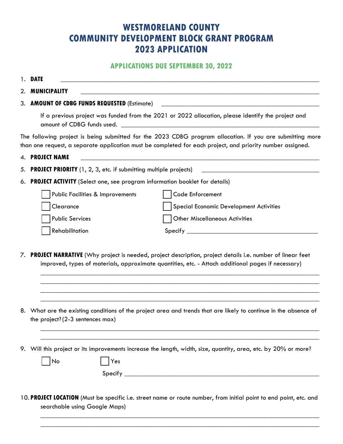## **WESTMORELAND COUNTY COMMUNITY DEVELOPMENT BLOCK GRANT PROGRAM 2023 APPLICATION**

### **APPLICATIONS DUE SEPTEMBER 30, 2022**

1. **DATE \_\_\_\_\_\_\_\_\_\_\_\_\_\_\_\_\_\_\_\_\_\_\_\_\_\_\_\_\_\_\_\_\_\_\_\_\_\_\_\_\_\_\_\_\_\_\_\_\_\_\_\_\_\_\_\_\_\_\_\_\_\_\_\_\_\_\_\_\_\_\_\_\_\_\_\_\_**

2. **MUNICIPALITY \_\_\_\_\_\_\_\_\_\_\_\_\_\_\_\_\_\_\_\_\_\_\_\_\_\_\_\_\_\_\_\_\_\_\_\_\_\_\_\_\_\_\_\_\_\_\_\_\_\_\_\_\_\_\_\_\_\_\_\_\_\_\_\_\_\_\_\_\_\_\_**

3. **AMOUNT OF CDBG FUNDS REQUESTED** (Estimate) **\_\_\_\_\_\_\_\_\_\_\_\_\_\_\_\_\_\_\_\_\_\_\_\_\_\_\_\_\_\_\_\_\_\_\_\_\_\_\_\_\_\_\_\_\_\_\_**

If a previous project was funded from the 2021 or 2022 allocation, please identify the project and amount of CDBG funds used.

The following project is being submitted for the 2023 CDBG program allocation. If you are submitting more than one request, a separate application must be completed for each project, and priority number assigned.

- 4. **PROJECT NAME \_\_\_\_\_\_\_\_\_\_\_\_\_\_\_\_\_\_\_\_\_\_\_\_\_\_\_\_\_\_\_\_\_\_\_\_\_\_\_\_\_\_\_\_\_\_\_\_\_\_\_\_\_\_\_\_\_\_\_\_\_\_\_\_\_\_\_\_\_\_\_** 5. **PROJECT PRIORITY** (1, 2, 3, etc. if submitting multiple projects)
- 6. **PROJECT ACTIVITY** (Select one, see program information booklet for details)

| Public Facilities & Improvements | Code Enforcement                        |
|----------------------------------|-----------------------------------------|
| Clearance                        | Special Economic Development Activities |
| <b>Public Services</b>           | Other Miscellaneous Activities          |
| Rehabilitation                   | Specify                                 |

7. **PROJECT NARRATIVE** (Why project is needed, project description, project details i.e. number of linear feet improved, types of materials, approximate quantities, etc. - Attach additional pages if necessary)

\_\_\_\_\_\_\_\_\_\_\_\_\_\_\_\_\_\_\_\_\_\_\_\_\_\_\_\_\_\_\_\_\_\_\_\_\_\_\_\_\_\_\_\_\_\_\_\_\_\_\_\_\_\_\_\_\_\_\_\_\_\_\_\_\_\_\_\_\_\_\_\_\_\_\_\_\_\_\_\_\_\_\_  $\_$  , and the set of the set of the set of the set of the set of the set of the set of the set of the set of the set of the set of the set of the set of the set of the set of the set of the set of the set of the set of th  $\_$  , and the set of the set of the set of the set of the set of the set of the set of the set of the set of the set of the set of the set of the set of the set of the set of the set of the set of the set of the set of th  $\_$  , and the set of the set of the set of the set of the set of the set of the set of the set of the set of the set of the set of the set of the set of the set of the set of the set of the set of the set of the set of th

 $\_$  , and the set of the set of the set of the set of the set of the set of the set of the set of the set of the set of the set of the set of the set of the set of the set of the set of the set of the set of the set of th  $\_$  , and the set of the set of the set of the set of the set of the set of the set of the set of the set of the set of the set of the set of the set of the set of the set of the set of the set of the set of the set of th

- 8. What are the existing conditions of the project area and trends that are likely to continue in the absence of the project? (2-3 sentences max)
- 9. Will this project or its improvements increase the length, width, size, quantity, area, etc. by 20% or more?

|--|--|

Yes

 $Specify$ 

10. **PROJECT LOCATION** (Must be specific i.e. street name or route number, from initial point to end point, etc. and searchable using Google Maps)

 $\_$  , and the set of the set of the set of the set of the set of the set of the set of the set of the set of the set of the set of the set of the set of the set of the set of the set of the set of the set of the set of th  $\_$  , and the set of the set of the set of the set of the set of the set of the set of the set of the set of the set of the set of the set of the set of the set of the set of the set of the set of the set of the set of th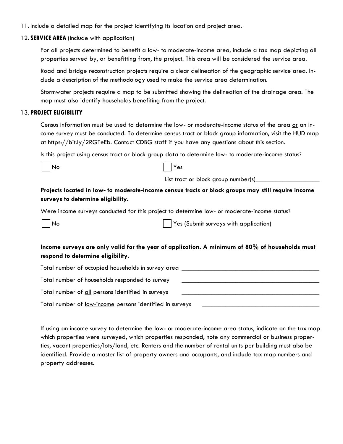- 11. Include a detailed map for the project identifying its location and project area.
- 12. **SERVICE AREA** (Include with application)

For all projects determined to benefit a low- to moderate-income area, include a tax map depicting all properties served by, or benefitting from, the project. This area will be considered the service area.

Road and bridge reconstruction projects require a clear delineation of the geographic service area. Include a description of the methodology used to make the service area determination.

Stormwater projects require a map to be submitted showing the delineation of the drainage area. The map must also identify households benefiting from the project.

### 13. **PROJECT ELIGIBILITY**

Census information must be used to determine the low- or moderate-income status of the area or an income survey must be conducted. To determine census tract or block group information, visit the HUD map at https://bit.ly/2RGTeEb. Contact CDBG staff if you have any questions about this section.

Is this project using census tract or block group data to determine low- to moderate-income status?



| ۰,<br>×<br>۰. |
|---------------|
|---------------|

List tract or block group number(s)

**Projects located in low- to moderate-income census tracts or block groups may still require income surveys to determine eligibility.**

Were income surveys conducted for this project to determine low- or moderate-income status?

No Yes (Submit surveys with application)

### **Income surveys are only valid for the year of application. A minimum of 80% of households must respond to determine eligibility.**

| Total number of occupied households in survey area              |  |
|-----------------------------------------------------------------|--|
| Total number of households responded to survey                  |  |
| Total number of all persons identified in surveys               |  |
| Total number of <u>low-income</u> persons identified in surveys |  |

If using an income survey to determine the low- or moderate-income area status, indicate on the tax map which properties were surveyed, which properties responded, note any commercial or business properties, vacant properties/lots/land, etc. Renters and the number of rental units per building must also be identified. Provide a master list of property owners and occupants, and include tax map numbers and property addresses.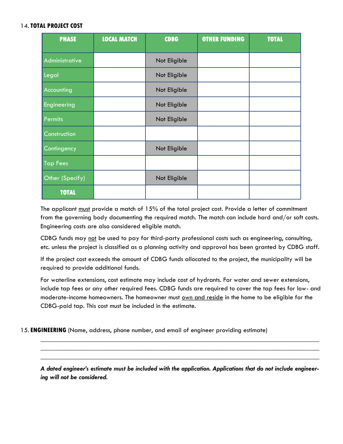### 14.**TOTAL PROJECT COST**

| <b>PHASE</b>    | <b>LOCAL MATCH</b> | <b>CDBG</b>  | <b>OTHER FUNDING</b> | <b>TOTAL</b> |
|-----------------|--------------------|--------------|----------------------|--------------|
| Administrative  |                    | Not Eligible |                      |              |
| Legal           |                    | Not Eligible |                      |              |
| Accounting      |                    | Not Eligible |                      |              |
| Engineering     |                    | Not Eligible |                      |              |
| Permits         |                    | Not Eligible |                      |              |
| Construction    |                    |              |                      |              |
| Contingency     |                    | Not Eligible |                      |              |
| <b>Tap Fees</b> |                    |              |                      |              |
| Other (Specify) |                    | Not Eligible |                      |              |
| <b>TOTAL</b>    |                    |              |                      |              |

The applicant must provide a match of 15% of the total project cost. Provide a letter of commitment from the governing body documenting the required match. The match can include hard and/or soft costs. Engineering costs are also considered eligible match.

CDBG funds may not be used to pay for third-party professional costs such as engineering, consulting, etc. unless the project is classified as a planning activity and approval has been granted by CDBG staff.

If the project cost exceeds the amount of CDBG funds allocated to the project, the municipality will be required to provide additional funds.

For waterline extensions, cost estimate may include cost of hydrants. For water and sewer extensions, include tap fees or any other required fees. CDBG funds are required to cover the tap fees for low- and moderate-income homeowners. The homeowner must own and reside in the home to be eligible for the CDBG-paid tap. This cost must be included in the estimate.

15. **ENGINEERING** (Name, address, phone number, and email of engineer providing estimate)

*A dated engineer's estimate must be included with the application. Applications that do not include engineering will not be considered.*

 $\_$  , and the set of the set of the set of the set of the set of the set of the set of the set of the set of the set of the set of the set of the set of the set of the set of the set of the set of the set of the set of th  $\_$  , and the set of the set of the set of the set of the set of the set of the set of the set of the set of the set of the set of the set of the set of the set of the set of the set of the set of the set of the set of th  $\_$  , and the set of the set of the set of the set of the set of the set of the set of the set of the set of the set of the set of the set of the set of the set of the set of the set of the set of the set of the set of th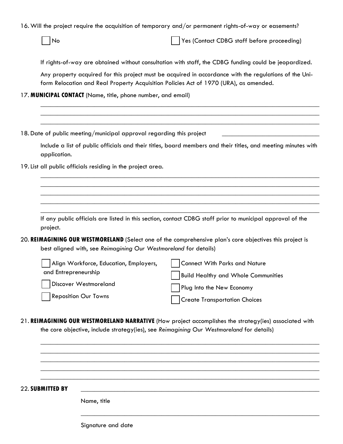16. Will the project require the acquisition of temporary and/or permanent rights-of-way or easements?

No Yes (Contact CDBG staff before proceeding)

If rights-of-way are obtained without consultation with staff, the CDBG funding could be jeopardized.

Any property acquired for this project must be acquired in accordance with the regulations of the Uniform Relocation and Real Property Acquisition Policies Act of 1970 (URA), as amended.

17. **MUNICIPAL CONTACT** (Name, title, phone number, and email)

|                                                                  | 18. Date of public meeting/municipal approval regarding this project                                          |
|------------------------------------------------------------------|---------------------------------------------------------------------------------------------------------------|
| application.                                                     | Include a list of public officials and their titles, board members and their titles, and meeting minutes with |
| 19. List all public officials residing in the project area.      |                                                                                                               |
|                                                                  |                                                                                                               |
|                                                                  |                                                                                                               |
| project.                                                         | If any public officials are listed in this section, contact CDBG staff prior to municipal approval of the     |
| best aligned with, see Reimagining Our Westmoreland for details) | 20. REIMAGINING OUR WESTMORELAND (Select one of the comprehensive plan's core objectives this project is      |
| Align Workforce, Education, Employers,                           | <b>Connect With Parks and Nature</b>                                                                          |
| and Entrepreneurship                                             | <b>Build Healthy and Whole Communities</b>                                                                    |
| Discover Westmoreland                                            | Plug Into the New Economy                                                                                     |
|                                                                  | <b>Create Transportation Choices</b>                                                                          |

 $\_$  , and the set of the set of the set of the set of the set of the set of the set of the set of the set of the set of the set of the set of the set of the set of the set of the set of the set of the set of the set of th  $\_$  , and the set of the set of the set of the set of the set of the set of the set of the set of the set of the set of the set of the set of the set of the set of the set of the set of the set of the set of the set of th \_\_\_\_\_\_\_\_\_\_\_\_\_\_\_\_\_\_\_\_\_\_\_\_\_\_\_\_\_\_\_\_\_\_\_\_\_\_\_\_\_\_\_\_\_\_\_\_\_\_\_\_\_\_\_\_\_\_\_\_\_\_\_\_\_\_\_\_\_\_\_\_\_\_\_\_\_\_\_\_\_\_\_  $\_$  , and the set of the set of the set of the set of the set of the set of the set of the set of the set of the set of the set of the set of the set of the set of the set of the set of the set of the set of the set of th

 $\_$  , and the set of the set of the set of the set of the set of the set of the set of the set of the set of the set of the set of the set of the set of the set of the set of the set of the set of the set of the set of th

22. **SUBMITTED BY** \_\_\_\_\_\_\_\_\_\_\_\_\_\_\_\_\_\_\_\_\_\_\_\_\_\_\_\_\_\_\_\_\_\_\_\_\_\_\_\_\_\_\_\_\_\_\_\_\_\_\_\_\_\_\_\_\_\_\_\_\_\_\_\_\_\_\_\_\_\_\_

Name, title

Signature and date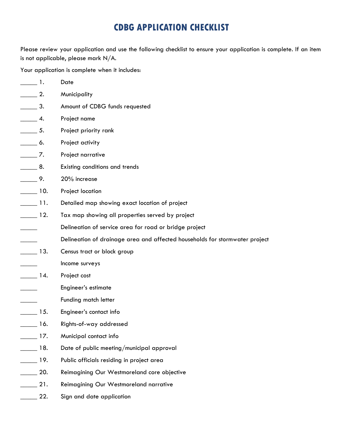# **CDBG APPLICATION CHECKLIST**

Please review your application and use the following checklist to ensure your application is complete. If an item is not applicable, please mark N/A.

Your application is complete when it includes:

| $\frac{1}{\sqrt{1-\frac{1}{2}}}$ 1. | Date                                                                        |
|-------------------------------------|-----------------------------------------------------------------------------|
| $\frac{2}{\sqrt{2}}$                | Municipality                                                                |
| $\_\_\_\_$ 3.                       | Amount of CDBG funds requested                                              |
| $\frac{4}{1}$                       | Project name                                                                |
| $\frac{1}{\sqrt{1-\frac{1}{2}}}$ 5. | Project priority rank                                                       |
| $\rule{1em}{0.15mm}$ 6.             | Project activity                                                            |
| $\frac{1}{\sqrt{1-\frac{1}{2}}}$    | Project narrative                                                           |
| $\_\_\_\$ 8.                        | Existing conditions and trends                                              |
| $\frac{\ }{2}$ 9.                   | 20% increase                                                                |
| $\frac{10}{100}$                    | Project location                                                            |
| $\frac{1}{\sqrt{1}}$ 11.            | Detailed map showing exact location of project                              |
| $\frac{12}{1}$                      | Tax map showing all properties served by project                            |
|                                     | Delineation of service area for road or bridge project                      |
|                                     | Delineation of drainage area and affected households for stormwater project |
| $\frac{13}{2}$                      | Census tract or block group                                                 |
|                                     | Income surveys                                                              |
| $\frac{1}{4}$ .                     | Project cost                                                                |
|                                     | Engineer's estimate                                                         |
|                                     | Funding match letter                                                        |
| $\frac{15}{2}$                      | Engineer's contact info                                                     |
| $\frac{16}{16}$                     | Rights-of-way addressed                                                     |
| $\frac{1}{2}$ 17.                   | Municipal contact info                                                      |
| $\frac{18}{16}$                     | Date of public meeting/municipal approval                                   |
| $\frac{1}{2}$ 19.                   | Public officials residing in project area                                   |
| $\frac{1}{20}$ .                    | Reimagining Our Westmoreland core objective                                 |
| $\sim$ 21.                          | Reimagining Our Westmoreland narrative                                      |
| $\frac{22}{2}$                      | Sign and date application                                                   |